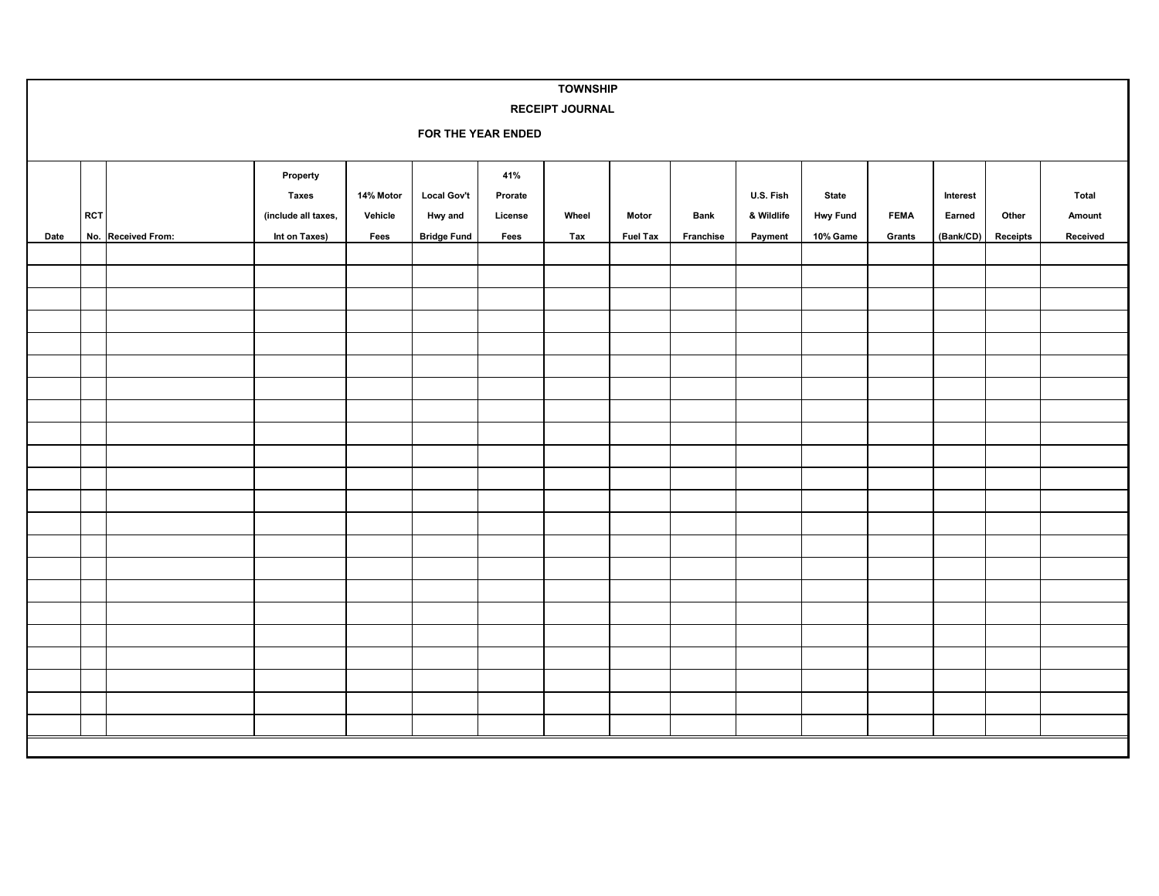| <b>TOWNSHIP</b> |                                              |                    |                                                                  |                              |                                                     |                                   |              |                          |                   |                                    |                                      |                       |                                 |                   |                             |
|-----------------|----------------------------------------------|--------------------|------------------------------------------------------------------|------------------------------|-----------------------------------------------------|-----------------------------------|--------------|--------------------------|-------------------|------------------------------------|--------------------------------------|-----------------------|---------------------------------|-------------------|-----------------------------|
|                 | <b>RECEIPT JOURNAL</b><br>FOR THE YEAR ENDED |                    |                                                                  |                              |                                                     |                                   |              |                          |                   |                                    |                                      |                       |                                 |                   |                             |
| Date            | RCT                                          | No. Received From: | Property<br><b>Taxes</b><br>(include all taxes,<br>Int on Taxes) | 14% Motor<br>Vehicle<br>Fees | <b>Local Gov't</b><br>Hwy and<br><b>Bridge Fund</b> | 41%<br>Prorate<br>License<br>Fees | Wheel<br>Tax | Motor<br><b>Fuel Tax</b> | Bank<br>Franchise | U.S. Fish<br>& Wildlife<br>Payment | State<br><b>Hwy Fund</b><br>10% Game | <b>FEMA</b><br>Grants | Interest<br>Earned<br>(Bank/CD) | Other<br>Receipts | Total<br>Amount<br>Received |
|                 |                                              |                    |                                                                  |                              |                                                     |                                   |              |                          |                   |                                    |                                      |                       |                                 |                   |                             |
|                 |                                              |                    |                                                                  |                              |                                                     |                                   |              |                          |                   |                                    |                                      |                       |                                 |                   |                             |
|                 |                                              |                    |                                                                  |                              |                                                     |                                   |              |                          |                   |                                    |                                      |                       |                                 |                   |                             |
|                 |                                              |                    |                                                                  |                              |                                                     |                                   |              |                          |                   |                                    |                                      |                       |                                 |                   |                             |
|                 |                                              |                    |                                                                  |                              |                                                     |                                   |              |                          |                   |                                    |                                      |                       |                                 |                   |                             |
|                 |                                              |                    |                                                                  |                              |                                                     |                                   |              |                          |                   |                                    |                                      |                       |                                 |                   |                             |
|                 |                                              |                    |                                                                  |                              |                                                     |                                   |              |                          |                   |                                    |                                      |                       |                                 |                   |                             |
|                 |                                              |                    |                                                                  |                              |                                                     |                                   |              |                          |                   |                                    |                                      |                       |                                 |                   |                             |
|                 |                                              |                    |                                                                  |                              |                                                     |                                   |              |                          |                   |                                    |                                      |                       |                                 |                   |                             |
|                 |                                              |                    |                                                                  |                              |                                                     |                                   |              |                          |                   |                                    |                                      |                       |                                 |                   |                             |
|                 |                                              |                    |                                                                  |                              |                                                     |                                   |              |                          |                   |                                    |                                      |                       |                                 |                   |                             |
|                 |                                              |                    |                                                                  |                              |                                                     |                                   |              |                          |                   |                                    |                                      |                       |                                 |                   |                             |
|                 |                                              |                    |                                                                  |                              |                                                     |                                   |              |                          |                   |                                    |                                      |                       |                                 |                   |                             |
|                 |                                              |                    |                                                                  |                              |                                                     |                                   |              |                          |                   |                                    |                                      |                       |                                 |                   |                             |
|                 |                                              |                    |                                                                  |                              |                                                     |                                   |              |                          |                   |                                    |                                      |                       |                                 |                   |                             |
|                 |                                              |                    |                                                                  |                              |                                                     |                                   |              |                          |                   |                                    |                                      |                       |                                 |                   |                             |
|                 |                                              |                    |                                                                  |                              |                                                     |                                   |              |                          |                   |                                    |                                      |                       |                                 |                   |                             |
|                 |                                              |                    |                                                                  |                              |                                                     |                                   |              |                          |                   |                                    |                                      |                       |                                 |                   |                             |
|                 |                                              |                    |                                                                  |                              |                                                     |                                   |              |                          |                   |                                    |                                      |                       |                                 |                   |                             |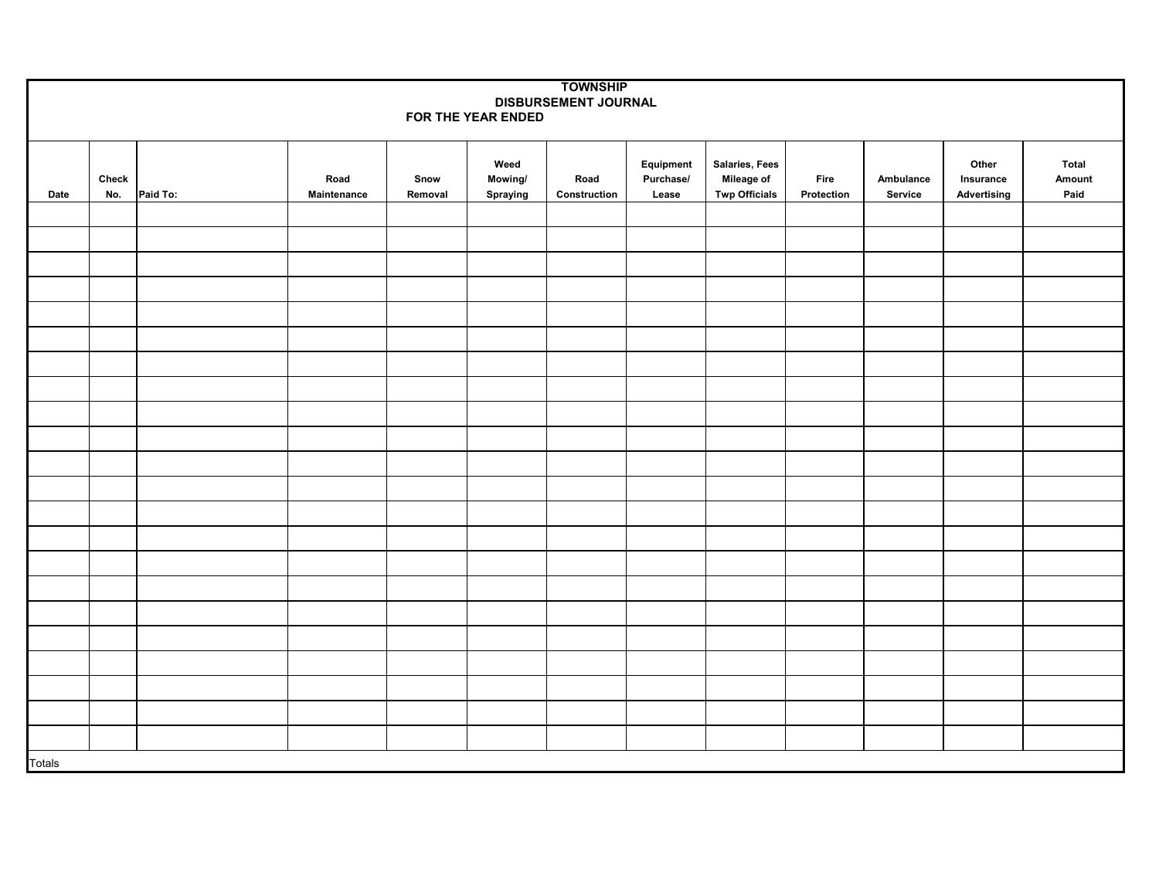| <b>TOWNSHIP</b>      |              |          |             |         |                 |              |                        |                              |            |           |                    |                 |
|----------------------|--------------|----------|-------------|---------|-----------------|--------------|------------------------|------------------------------|------------|-----------|--------------------|-----------------|
| DISBURSEMENT JOURNAL |              |          |             |         |                 |              |                        |                              |            |           |                    |                 |
| FOR THE YEAR ENDED   |              |          |             |         |                 |              |                        |                              |            |           |                    |                 |
|                      |              |          |             |         |                 |              |                        |                              |            |           |                    |                 |
|                      | <b>Check</b> |          | Road        | Snow    | Weed<br>Mowing/ | Road         | Equipment<br>Purchase/ | Salaries, Fees<br>Mileage of | Fire       | Ambulance | Other<br>Insurance | Total<br>Amount |
| Date                 | No.          | Paid To: | Maintenance | Removal | Spraying        | Construction | Lease                  | <b>Twp Officials</b>         | Protection | Service   | Advertising        | Paid            |
|                      |              |          |             |         |                 |              |                        |                              |            |           |                    |                 |
|                      |              |          |             |         |                 |              |                        |                              |            |           |                    |                 |
|                      |              |          |             |         |                 |              |                        |                              |            |           |                    |                 |
|                      |              |          |             |         |                 |              |                        |                              |            |           |                    |                 |
|                      |              |          |             |         |                 |              |                        |                              |            |           |                    |                 |
|                      |              |          |             |         |                 |              |                        |                              |            |           |                    |                 |
|                      |              |          |             |         |                 |              |                        |                              |            |           |                    |                 |
|                      |              |          |             |         |                 |              |                        |                              |            |           |                    |                 |
|                      |              |          |             |         |                 |              |                        |                              |            |           |                    |                 |
|                      |              |          |             |         |                 |              |                        |                              |            |           |                    |                 |
|                      |              |          |             |         |                 |              |                        |                              |            |           |                    |                 |
|                      |              |          |             |         |                 |              |                        |                              |            |           |                    |                 |
|                      |              |          |             |         |                 |              |                        |                              |            |           |                    |                 |
|                      |              |          |             |         |                 |              |                        |                              |            |           |                    |                 |
|                      |              |          |             |         |                 |              |                        |                              |            |           |                    |                 |
|                      |              |          |             |         |                 |              |                        |                              |            |           |                    |                 |
|                      |              |          |             |         |                 |              |                        |                              |            |           |                    |                 |
|                      |              |          |             |         |                 |              |                        |                              |            |           |                    |                 |
|                      |              |          |             |         |                 |              |                        |                              |            |           |                    |                 |
|                      |              |          |             |         |                 |              |                        |                              |            |           |                    |                 |
|                      |              |          |             |         |                 |              |                        |                              |            |           |                    |                 |
|                      |              |          |             |         |                 |              |                        |                              |            |           |                    |                 |
| <b>Totals</b>        |              |          |             |         |                 |              |                        |                              |            |           |                    |                 |